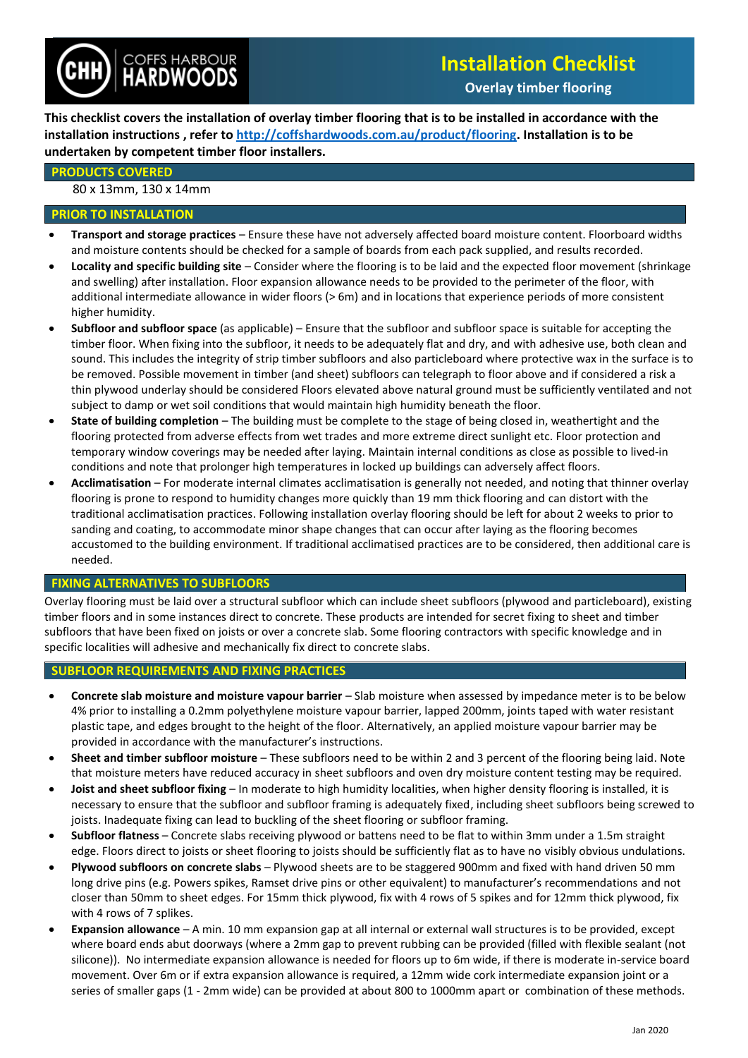

# **Installation Checklist**

**Overlay timber flooring**

**This checklist covers the installation of overlay timber flooring that is to be installed in accordance with the installation instructions , refer to [http://coffshardwoods.com.au/product/flooring.](http://coffshardwoods.com.au/product/flooring/) Installation is to be undertaken by competent timber floor installers.**

#### **PRODUCTS COVERED**

#### 80 x 13mm, 130 x 14mm

## **PRIOR TO INSTALLATION**

- **Transport and storage practices** Ensure these have not adversely affected board moisture content. Floorboard widths and moisture contents should be checked for a sample of boards from each pack supplied, and results recorded.
- **Locality and specific building site** Consider where the flooring is to be laid and the expected floor movement (shrinkage and swelling) after installation. Floor expansion allowance needs to be provided to the perimeter of the floor, with additional intermediate allowance in wider floors (> 6m) and in locations that experience periods of more consistent higher humidity.
- **Subfloor and subfloor space** (as applicable) Ensure that the subfloor and subfloor space is suitable for accepting the timber floor. When fixing into the subfloor, it needs to be adequately flat and dry, and with adhesive use, both clean and sound. This includes the integrity of strip timber subfloors and also particleboard where protective wax in the surface is to be removed. Possible movement in timber (and sheet) subfloors can telegraph to floor above and if considered a risk a thin plywood underlay should be considered Floors elevated above natural ground must be sufficiently ventilated and not subject to damp or wet soil conditions that would maintain high humidity beneath the floor.
- **State of building completion** The building must be complete to the stage of being closed in, weathertight and the flooring protected from adverse effects from wet trades and more extreme direct sunlight etc. Floor protection and temporary window coverings may be needed after laying. Maintain internal conditions as close as possible to lived-in conditions and note that prolonger high temperatures in locked up buildings can adversely affect floors.
- **Acclimatisation** For moderate internal climates acclimatisation is generally not needed, and noting that thinner overlay flooring is prone to respond to humidity changes more quickly than 19 mm thick flooring and can distort with the traditional acclimatisation practices. Following installation overlay flooring should be left for about 2 weeks to prior to sanding and coating, to accommodate minor shape changes that can occur after laying as the flooring becomes accustomed to the building environment. If traditional acclimatised practices are to be considered, then additional care is needed.

## **FIXING ALTERNATIVES TO SUBFLOORS**

Overlay flooring must be laid over a structural subfloor which can include sheet subfloors (plywood and particleboard), existing timber floors and in some instances direct to concrete. These products are intended for secret fixing to sheet and timber subfloors that have been fixed on joists or over a concrete slab. Some flooring contractors with specific knowledge and in specific localities will adhesive and mechanically fix direct to concrete slabs.

## **SUBFLOOR REQUIREMENTS AND FIXING PRACTICES**

- **Concrete slab moisture and moisture vapour barrier**  Slab moisture when assessed by impedance meter is to be below 4% prior to installing a 0.2mm polyethylene moisture vapour barrier, lapped 200mm, joints taped with water resistant plastic tape, and edges brought to the height of the floor. Alternatively, an applied moisture vapour barrier may be provided in accordance with the manufacturer's instructions.
- **Sheet and timber subfloor moisture**  These subfloors need to be within 2 and 3 percent of the flooring being laid. Note that moisture meters have reduced accuracy in sheet subfloors and oven dry moisture content testing may be required.
- **Joist and sheet subfloor fixing** In moderate to high humidity localities, when higher density flooring is installed, it is necessary to ensure that the subfloor and subfloor framing is adequately fixed, including sheet subfloors being screwed to joists. Inadequate fixing can lead to buckling of the sheet flooring or subfloor framing.
- **Subfloor flatness**  Concrete slabs receiving plywood or battens need to be flat to within 3mm under a 1.5m straight edge. Floors direct to joists or sheet flooring to joists should be sufficiently flat as to have no visibly obvious undulations.
- **Plywood subfloors on concrete slabs** Plywood sheets are to be staggered 900mm and fixed with hand driven 50 mm long drive pins (e.g. Powers spikes, Ramset drive pins or other equivalent) to manufacturer's recommendations and not closer than 50mm to sheet edges. For 15mm thick plywood, fix with 4 rows of 5 spikes and for 12mm thick plywood, fix with 4 rows of 7 splikes.
- **Expansion allowance** A min. 10 mm expansion gap at all internal or external wall structures is to be provided, except where board ends abut doorways (where a 2mm gap to prevent rubbing can be provided (filled with flexible sealant (not silicone)). No intermediate expansion allowance is needed for floors up to 6m wide, if there is moderate in-service board movement. Over 6m or if extra expansion allowance is required, a 12mm wide cork intermediate expansion joint or a series of smaller gaps (1 - 2mm wide) can be provided at about 800 to 1000mm apart or combination of these methods.